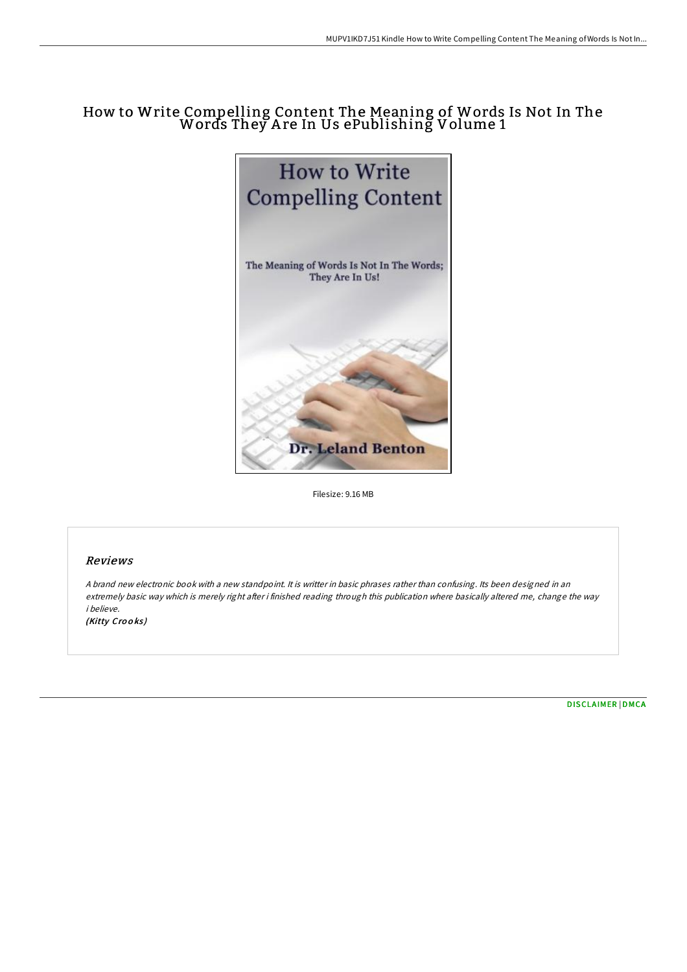# How to Write Compelling Content The Meaning of Words Is Not In The Words They A re In Us ePublishing Volume 1



Filesize: 9.16 MB

## Reviews

<sup>A</sup> brand new electronic book with <sup>a</sup> new standpoint. It is writter in basic phrases rather than confusing. Its been designed in an extremely basic way which is merely right after i finished reading through this publication where basically altered me, change the way i believe.

(Kitty Crooks)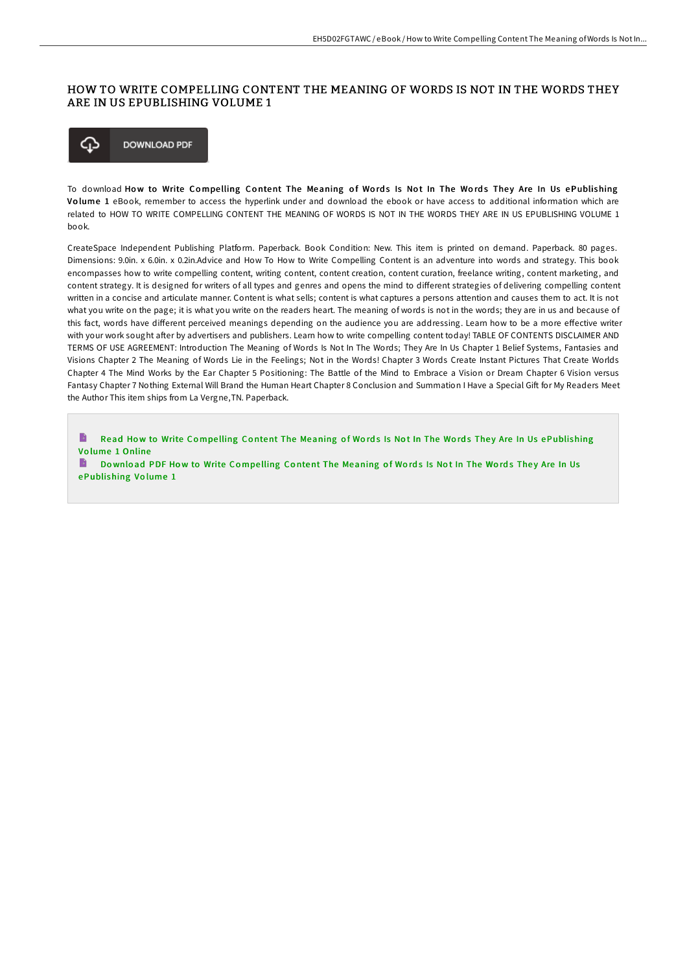### HOW TO WRITE COMPELLING CONTENT THE MEANING OF WORDS IS NOT IN THE WORDS THEY ARE IN US EPUBLISHING VOLUME 1



To download How to Write Compelling Content The Meaning of Words Is Not In The Words They Are In Us ePublishing Vo lume 1 eBook, remember to access the hyperlink under and download the ebook or have access to additional information which are related to HOW TO WRITE COMPELLING CONTENT THE MEANING OF WORDS IS NOT IN THE WORDS THEY ARE IN US EPUBLISHING VOLUME 1 book.

CreateSpace Independent Publishing Platform. Paperback. Book Condition: New. This item is printed on demand. Paperback. 80 pages. Dimensions: 9.0in. x 6.0in. x 0.2in.Advice and How To How to Write Compelling Content is an adventure into words and strategy. This book encompasses how to write compelling content, writing content, content creation, content curation, freelance writing, content marketing, and content strategy. It is designed for writers of all types and genres and opens the mind to different strategies of delivering compelling content written in a concise and articulate manner. Content is what sells; content is what captures a persons attention and causes them to act. It is not what you write on the page; it is what you write on the readers heart. The meaning of words is not in the words; they are in us and because of this fact, words have different perceived meanings depending on the audience you are addressing. Learn how to be a more effective writer with your work sought after by advertisers and publishers. Learn how to write compelling content today! TABLE OF CONTENTS DISCLAIMER AND TERMS OF USE AGREEMENT: Introduction The Meaning of Words Is Not In The Words; They Are In Us Chapter 1 Belief Systems, Fantasies and Visions Chapter 2 The Meaning of Words Lie in the Feelings; Not in the Words! Chapter 3 Words Create Instant Pictures That Create Worlds Chapter 4 The Mind Works by the Ear Chapter 5 Positioning: The Battle of the Mind to Embrace a Vision or Dream Chapter 6 Vision versus Fantasy Chapter 7 Nothing External Will Brand the Human Heart Chapter 8 Conclusion and Summation I Have a Special Gift for My Readers Meet the Author This item ships from La Vergne,TN. Paperback.

B Read How to Write Compelling Content The Meaning of Words Is Not In The Words They Are In Us [ePublishing](http://almighty24.tech/how-to-write-compelling-content-the-meaning-of-w.html) Vo lume 1 Online

B Download PDF How to Write Compelling Content The Meaning of Words Is Not In The Words They Are In Us [ePublishing](http://almighty24.tech/how-to-write-compelling-content-the-meaning-of-w.html) Vo lume 1